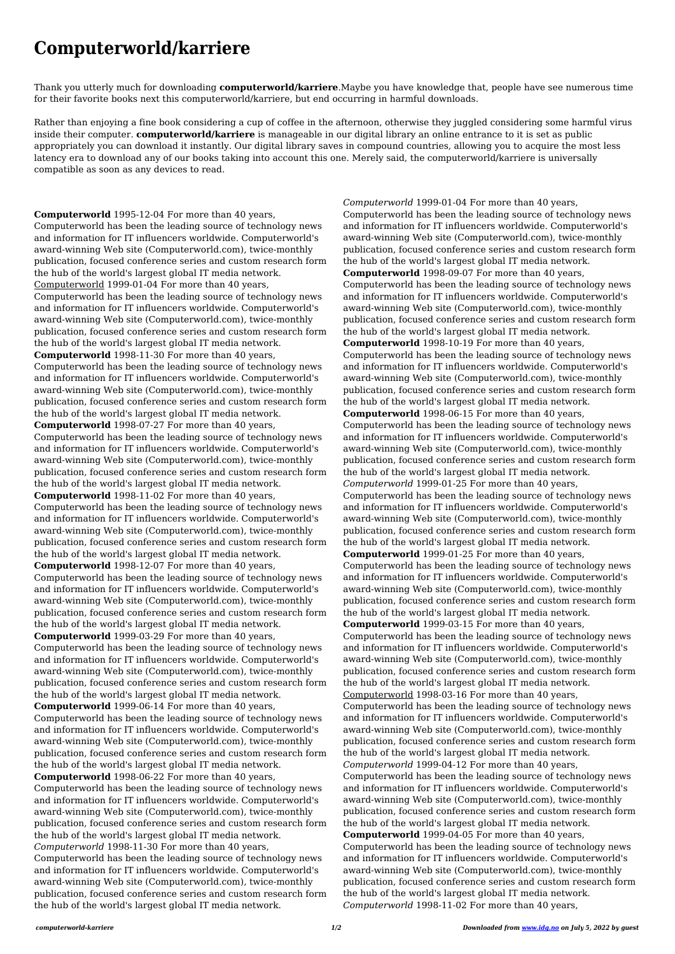## **Computerworld/karriere**

Thank you utterly much for downloading **computerworld/karriere**.Maybe you have knowledge that, people have see numerous time for their favorite books next this computerworld/karriere, but end occurring in harmful downloads.

Rather than enjoying a fine book considering a cup of coffee in the afternoon, otherwise they juggled considering some harmful virus inside their computer. **computerworld/karriere** is manageable in our digital library an online entrance to it is set as public appropriately you can download it instantly. Our digital library saves in compound countries, allowing you to acquire the most less latency era to download any of our books taking into account this one. Merely said, the computerworld/karriere is universally compatible as soon as any devices to read.

**Computerworld** 1995-12-04 For more than 40 years, Computerworld has been the leading source of technology news and information for IT influencers worldwide. Computerworld's award-winning Web site (Computerworld.com), twice-monthly publication, focused conference series and custom research form the hub of the world's largest global IT media network. Computerworld 1999-01-04 For more than 40 years, Computerworld has been the leading source of technology news and information for IT influencers worldwide. Computerworld's award-winning Web site (Computerworld.com), twice-monthly publication, focused conference series and custom research form the hub of the world's largest global IT media network. **Computerworld** 1998-11-30 For more than 40 years, Computerworld has been the leading source of technology news and information for IT influencers worldwide. Computerworld's award-winning Web site (Computerworld.com), twice-monthly publication, focused conference series and custom research form the hub of the world's largest global IT media network. **Computerworld** 1998-07-27 For more than 40 years, Computerworld has been the leading source of technology news and information for IT influencers worldwide. Computerworld's award-winning Web site (Computerworld.com), twice-monthly publication, focused conference series and custom research form the hub of the world's largest global IT media network. **Computerworld** 1998-11-02 For more than 40 years, Computerworld has been the leading source of technology news and information for IT influencers worldwide. Computerworld's award-winning Web site (Computerworld.com), twice-monthly publication, focused conference series and custom research form the hub of the world's largest global IT media network. **Computerworld** 1998-12-07 For more than 40 years, Computerworld has been the leading source of technology news and information for IT influencers worldwide. Computerworld's award-winning Web site (Computerworld.com), twice-monthly publication, focused conference series and custom research form the hub of the world's largest global IT media network. **Computerworld** 1999-03-29 For more than 40 years, Computerworld has been the leading source of technology news and information for IT influencers worldwide. Computerworld's award-winning Web site (Computerworld.com), twice-monthly publication, focused conference series and custom research form

the hub of the world's largest global IT media network. **Computerworld** 1999-06-14 For more than 40 years, Computerworld has been the leading source of technology news and information for IT influencers worldwide. Computerworld's award-winning Web site (Computerworld.com), twice-monthly publication, focused conference series and custom research form the hub of the world's largest global IT media network. **Computerworld** 1998-06-22 For more than 40 years, Computerworld has been the leading source of technology news and information for IT influencers worldwide. Computerworld's award-winning Web site (Computerworld.com), twice-monthly publication, focused conference series and custom research form the hub of the world's largest global IT media network. *Computerworld* 1998-11-30 For more than 40 years, Computerworld has been the leading source of technology news and information for IT influencers worldwide. Computerworld's award-winning Web site (Computerworld.com), twice-monthly publication, focused conference series and custom research form the hub of the world's largest global IT media network.

*Computerworld* 1999-01-04 For more than 40 years, Computerworld has been the leading source of technology news and information for IT influencers worldwide. Computerworld's award-winning Web site (Computerworld.com), twice-monthly publication, focused conference series and custom research form the hub of the world's largest global IT media network. **Computerworld** 1998-09-07 For more than 40 years, Computerworld has been the leading source of technology news and information for IT influencers worldwide. Computerworld's award-winning Web site (Computerworld.com), twice-monthly publication, focused conference series and custom research form the hub of the world's largest global IT media network. **Computerworld** 1998-10-19 For more than 40 years, Computerworld has been the leading source of technology news and information for IT influencers worldwide. Computerworld's award-winning Web site (Computerworld.com), twice-monthly publication, focused conference series and custom research form the hub of the world's largest global IT media network. **Computerworld** 1998-06-15 For more than 40 years, Computerworld has been the leading source of technology news and information for IT influencers worldwide. Computerworld's award-winning Web site (Computerworld.com), twice-monthly publication, focused conference series and custom research form the hub of the world's largest global IT media network. *Computerworld* 1999-01-25 For more than 40 years, Computerworld has been the leading source of technology news and information for IT influencers worldwide. Computerworld's award-winning Web site (Computerworld.com), twice-monthly publication, focused conference series and custom research form the hub of the world's largest global IT media network. **Computerworld** 1999-01-25 For more than 40 years, Computerworld has been the leading source of technology news and information for IT influencers worldwide. Computerworld's award-winning Web site (Computerworld.com), twice-monthly publication, focused conference series and custom research form the hub of the world's largest global IT media network.

**Computerworld** 1999-03-15 For more than 40 years, Computerworld has been the leading source of technology news and information for IT influencers worldwide. Computerworld's award-winning Web site (Computerworld.com), twice-monthly publication, focused conference series and custom research form the hub of the world's largest global IT media network. Computerworld 1998-03-16 For more than 40 years,

Computerworld has been the leading source of technology news and information for IT influencers worldwide. Computerworld's award-winning Web site (Computerworld.com), twice-monthly publication, focused conference series and custom research form the hub of the world's largest global IT media network. *Computerworld* 1999-04-12 For more than 40 years, Computerworld has been the leading source of technology news and information for IT influencers worldwide. Computerworld's award-winning Web site (Computerworld.com), twice-monthly publication, focused conference series and custom research form the hub of the world's largest global IT media network. **Computerworld** 1999-04-05 For more than 40 years, Computerworld has been the leading source of technology news and information for IT influencers worldwide. Computerworld's award-winning Web site (Computerworld.com), twice-monthly publication, focused conference series and custom research form the hub of the world's largest global IT media network. *Computerworld* 1998-11-02 For more than 40 years,